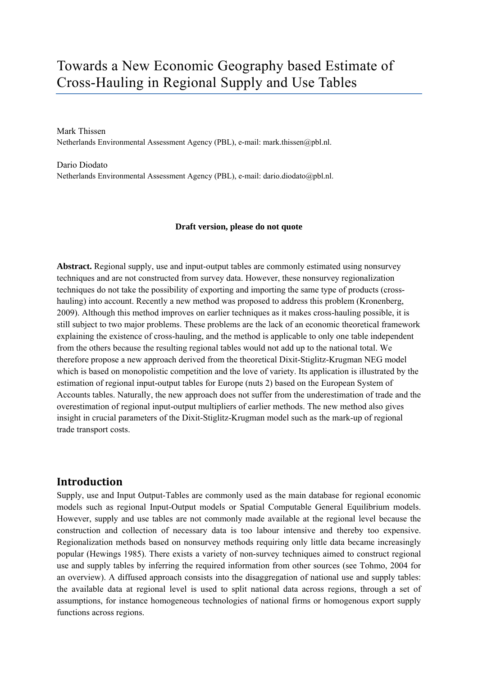# Towards a New Economic Geography based Estimate of Cross-Hauling in Regional Supply and Use Tables

Mark Thissen Netherlands Environmental Assessment Agency (PBL), e-mail: mark.thissen@pbl.nl.

Dario Diodato Netherlands Environmental Assessment Agency (PBL), e-mail: dario.diodato@pbl.nl.

#### **Draft version, please do not quote**

**Abstract.** Regional supply, use and input-output tables are commonly estimated using nonsurvey techniques and are not constructed from survey data. However, these nonsurvey regionalization techniques do not take the possibility of exporting and importing the same type of products (crosshauling) into account. Recently a new method was proposed to address this problem (Kronenberg, 2009). Although this method improves on earlier techniques as it makes cross-hauling possible, it is still subject to two major problems. These problems are the lack of an economic theoretical framework explaining the existence of cross-hauling, and the method is applicable to only one table independent from the others because the resulting regional tables would not add up to the national total. We therefore propose a new approach derived from the theoretical Dixit-Stiglitz-Krugman NEG model which is based on monopolistic competition and the love of variety. Its application is illustrated by the estimation of regional input-output tables for Europe (nuts 2) based on the European System of Accounts tables. Naturally, the new approach does not suffer from the underestimation of trade and the overestimation of regional input-output multipliers of earlier methods. The new method also gives insight in crucial parameters of the Dixit-Stiglitz-Krugman model such as the mark-up of regional trade transport costs.

### **Introduction**

Supply, use and Input Output-Tables are commonly used as the main database for regional economic models such as regional Input-Output models or Spatial Computable General Equilibrium models. However, supply and use tables are not commonly made available at the regional level because the construction and collection of necessary data is too labour intensive and thereby too expensive. Regionalization methods based on nonsurvey methods requiring only little data became increasingly popular (Hewings 1985). There exists a variety of non-survey techniques aimed to construct regional use and supply tables by inferring the required information from other sources (see Tohmo, 2004 for an overview). A diffused approach consists into the disaggregation of national use and supply tables: the available data at regional level is used to split national data across regions, through a set of assumptions, for instance homogeneous technologies of national firms or homogenous export supply functions across regions.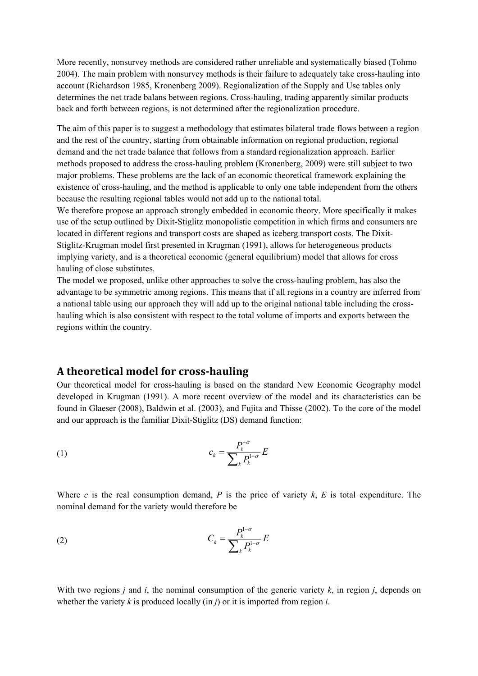More recently, nonsurvey methods are considered rather unreliable and systematically biased (Tohmo 2004). The main problem with nonsurvey methods is their failure to adequately take cross-hauling into account (Richardson 1985, Kronenberg 2009). Regionalization of the Supply and Use tables only determines the net trade balans between regions. Cross-hauling, trading apparently similar products back and forth between regions, is not determined after the regionalization procedure.

The aim of this paper is to suggest a methodology that estimates bilateral trade flows between a region and the rest of the country, starting from obtainable information on regional production, regional demand and the net trade balance that follows from a standard regionalization approach. Earlier methods proposed to address the cross-hauling problem (Kronenberg, 2009) were still subject to two major problems. These problems are the lack of an economic theoretical framework explaining the existence of cross-hauling, and the method is applicable to only one table independent from the others because the resulting regional tables would not add up to the national total.

We therefore propose an approach strongly embedded in economic theory. More specifically it makes use of the setup outlined by Dixit-Stiglitz monopolistic competition in which firms and consumers are located in different regions and transport costs are shaped as iceberg transport costs. The Dixit-Stiglitz-Krugman model first presented in Krugman (1991), allows for heterogeneous products implying variety, and is a theoretical economic (general equilibrium) model that allows for cross hauling of close substitutes.

The model we proposed, unlike other approaches to solve the cross-hauling problem, has also the advantage to be symmetric among regions. This means that if all regions in a country are inferred from a national table using our approach they will add up to the original national table including the crosshauling which is also consistent with respect to the total volume of imports and exports between the regions within the country.

# **A theoretical model for crosshauling**

Our theoretical model for cross-hauling is based on the standard New Economic Geography model developed in Krugman (1991). A more recent overview of the model and its characteristics can be found in Glaeser (2008), Baldwin et al. (2003), and Fujita and Thisse (2002). To the core of the model and our approach is the familiar Dixit-Stiglitz (DS) demand function:

$$
c_k = \frac{P_k^{-\sigma}}{\sum_k P_k^{1-\sigma}} E
$$

Where *c* is the real consumption demand, *P* is the price of variety *k*, *E* is total expenditure. The nominal demand for the variety would therefore be

$$
C_k = \frac{P_k^{1-\sigma}}{\sum_k P_k^{1-\sigma}} E
$$

With two regions *j* and *i*, the nominal consumption of the generic variety *k*, in region *j*, depends on whether the variety  $k$  is produced locally (in  $j$ ) or it is imported from region  $i$ .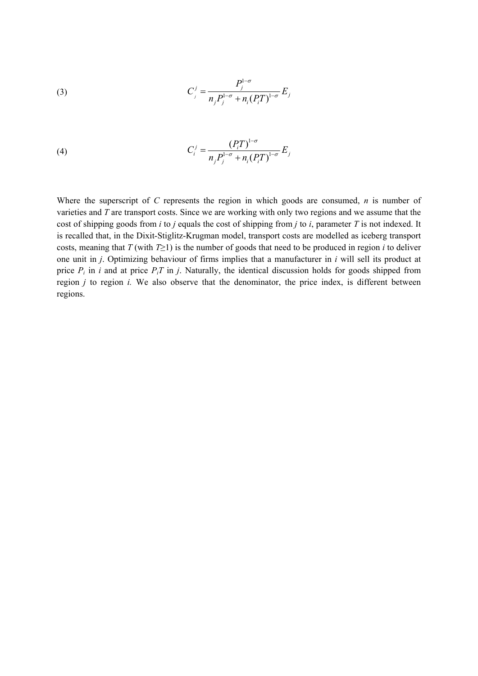(3) 
$$
C_j^j = \frac{P_j^{1-\sigma}}{n_j P_j^{1-\sigma} + n_i (P_i T)^{1-\sigma}} E_j
$$

(4) 
$$
C_i^j = \frac{(P_i T)^{1-\sigma}}{n_j P_j^{1-\sigma} + n_i (P_i T)^{1-\sigma}} E_j
$$

Where the superscript of *C* represents the region in which goods are consumed, *n* is number of varieties and *T* are transport costs. Since we are working with only two regions and we assume that the cost of shipping goods from *i* to *j* equals the cost of shipping from *j* to *i*, parameter *T* is not indexed. It is recalled that, in the Dixit-Stiglitz-Krugman model, transport costs are modelled as iceberg transport costs, meaning that  $T$  (with  $T \geq 1$ ) is the number of goods that need to be produced in region *i* to deliver one unit in *j*. Optimizing behaviour of firms implies that a manufacturer in *i* will sell its product at price  $P_i$  in *i* and at price  $P_i$  in *j*. Naturally, the identical discussion holds for goods shipped from region *j* to region *i.* We also observe that the denominator, the price index, is different between regions.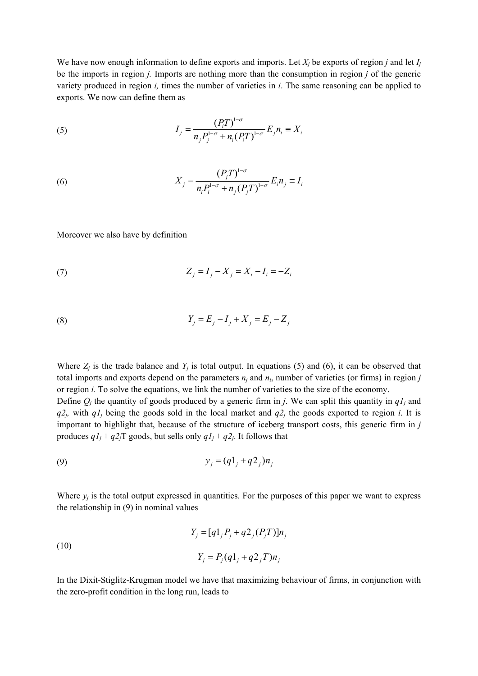We have now enough information to define exports and imports. Let  $X_i$  be exports of region *j* and let  $I_i$ be the imports in region *j.* Imports are nothing more than the consumption in region *j* of the generic variety produced in region *i,* times the number of varieties in *i*. The same reasoning can be applied to exports. We now can define them as

(5) 
$$
I_{j} = \frac{(P_{i}T)^{1-\sigma}}{n_{j}P_{j}^{1-\sigma} + n_{i}(P_{i}T)^{1-\sigma}} E_{j} n_{i} \equiv X_{i}
$$

(6) 
$$
X_{j} = \frac{(P_{j}T)^{1-\sigma}}{n_{i}P_{i}^{1-\sigma} + n_{j}(P_{j}T)^{1-\sigma}} E_{i}n_{j} \equiv I_{i}
$$

Moreover we also have by definition

(7) 
$$
Z_j = I_j - X_j = X_i - I_i = -Z_i
$$

(8) 
$$
Y_j = E_j - I_j + X_j = E_j - Z_j
$$

Where  $Z_i$  is the trade balance and  $Y_i$  is total output. In equations (5) and (6), it can be observed that total imports and exports depend on the parameters  $n_i$  and  $n_i$ , number of varieties (or firms) in region *j* or region *i*. To solve the equations, we link the number of varieties to the size of the economy. Define  $Q_i$  the quantity of goods produced by a generic firm in *j*. We can split this quantity in  $qI_i$  and  $q_1$ <sup>2j</sup>, with  $q_1$  being the goods sold in the local market and  $q_2$ <sup>the</sup> goods exported to region *i*. It is important to highlight that, because of the structure of iceberg transport costs, this generic firm in *j* produces  $qI_i + q2j$  goods, but sells only  $qI_i + q2j$ . It follows that

(9) 
$$
y_j = (q1_j + q2_j)n_j
$$

Where  $y_i$  is the total output expressed in quantities. For the purposes of this paper we want to express the relationship in (9) in nominal values

(10)  
\n
$$
Y_{j} = [q1_{j}P_{j} + q2_{j}(P_{j}T)]n_{j}
$$
\n
$$
Y_{j} = P_{j}(q1_{j} + q2_{j}T)n_{j}
$$

In the Dixit-Stiglitz-Krugman model we have that maximizing behaviour of firms, in conjunction with the zero-profit condition in the long run, leads to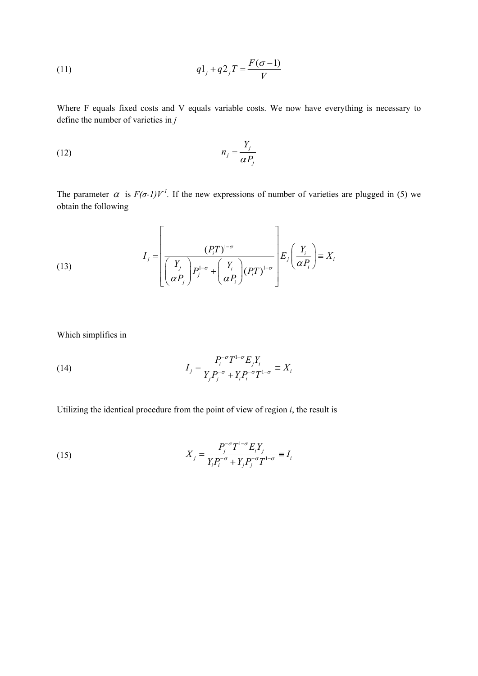(11) 
$$
q1_j + q2_j T = \frac{F(\sigma - 1)}{V}
$$

Where F equals fixed costs and V equals variable costs. We now have everything is necessary to define the number of varieties in *j* 

$$
n_j = \frac{Y_j}{\alpha P_j}
$$

The parameter  $\alpha$  is  $F(\sigma-1)V^T$ . If the new expressions of number of varieties are plugged in (5) we obtain the following

(13) 
$$
I_{j} = \left[\frac{(P_{i}T)^{1-\sigma}}{\left(\frac{Y_{j}}{\alpha P_{j}}\right)P_{j}^{1-\sigma} + \left(\frac{Y_{i}}{\alpha P_{i}}\right)(P_{i}T)^{1-\sigma}}\right]E_{j}\left(\frac{Y_{i}}{\alpha P_{i}}\right) = X_{i}
$$

Which simplifies in

(14) 
$$
I_{j} = \frac{P_{i}^{\sigma} T^{1-\sigma} E_{j} Y_{i}}{Y_{j} P_{j}^{\sigma} + Y_{i} P_{i}^{\sigma} T^{1-\sigma}} \equiv X_{i}
$$

Utilizing the identical procedure from the point of view of region *i*, the result is

(15) 
$$
X_{j} = \frac{P_{j}^{-\sigma} T^{1-\sigma} E_{i} Y_{j}}{Y_{i} P_{i}^{-\sigma} + Y_{j} P_{j}^{-\sigma} T^{1-\sigma}} \equiv I_{i}
$$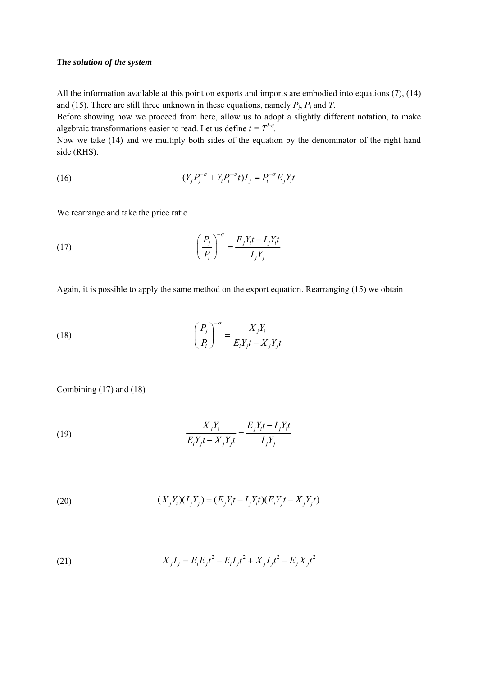#### *The solution of the system*

All the information available at this point on exports and imports are embodied into equations (7), (14) and (15). There are still three unknown in these equations, namely  $P_i$ ,  $P_i$  and  $T$ .

Before showing how we proceed from here, allow us to adopt a slightly different notation, to make algebraic transformations easier to read. Let us define  $t = T^{1-\sigma}$ .

Now we take (14) and we multiply both sides of the equation by the denominator of the right hand side (RHS).

(16) 
$$
(Y_j P_j^{-\sigma} + Y_i P_i^{-\sigma} t) I_j = P_i^{-\sigma} E_j Y_i t
$$

We rearrange and take the price ratio

(17) 
$$
\left(\frac{P_j}{P_i}\right)^{-\sigma} = \frac{E_j Y_i t - I_j Y_i t}{I_j Y_j}
$$

Again, it is possible to apply the same method on the export equation. Rearranging (15) we obtain

(18) 
$$
\left(\frac{P_j}{P_i}\right)^{-\sigma} = \frac{X_j Y_i}{E_i Y_j t - X_j Y_j t}
$$

Combining (17) and (18)

(19) 
$$
\frac{X_j Y_i}{E_i Y_j t - X_j Y_j t} = \frac{E_j Y_i t - I_j Y_i t}{I_j Y_j}
$$

(20) 
$$
(X_j Y_i)(I_j Y_j) = (E_j Y_i t - I_j Y_i t)(E_i Y_j t - X_j Y_j t)
$$

(21) 
$$
X_j I_j = E_i E_j t^2 - E_i I_j t^2 + X_j I_j t^2 - E_j X_j t^2
$$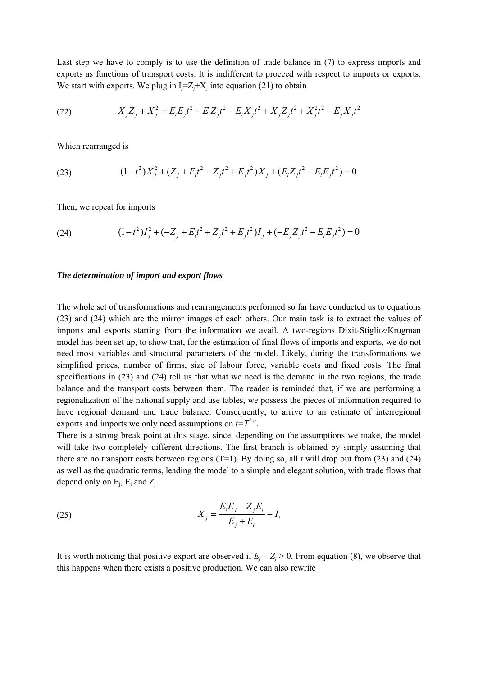Last step we have to comply is to use the definition of trade balance in (7) to express imports and exports as functions of transport costs. It is indifferent to proceed with respect to imports or exports. We start with exports. We plug in  $I_i = Z_i + X_i$  into equation (21) to obtain

(22) 
$$
X_j Z_j + X_j^2 = E_i E_j t^2 - E_i Z_j t^2 - E_i X_j t^2 + X_j Z_j t^2 + X_j^2 t^2 - E_j X_j t^2
$$

Which rearranged is

(23) 
$$
(1-t^2)X_j^2 + (Z_j + E_it^2 - Z_jt^2 + E_jt^2)X_j + (E_iZ_jt^2 - E_iE_jt^2) = 0
$$

Then, we repeat for imports

(24) 
$$
(1-t^2)I_j^2 + (-Z_j + E_i t^2 + Z_j t^2 + E_j t^2)I_j + (-E_j Z_j t^2 - E_i E_j t^2) = 0
$$

#### *The determination of import and export flows*

The whole set of transformations and rearrangements performed so far have conducted us to equations (23) and (24) which are the mirror images of each others. Our main task is to extract the values of imports and exports starting from the information we avail. A two-regions Dixit-Stiglitz/Krugman model has been set up, to show that, for the estimation of final flows of imports and exports, we do not need most variables and structural parameters of the model. Likely, during the transformations we simplified prices, number of firms, size of labour force, variable costs and fixed costs. The final specifications in (23) and (24) tell us that what we need is the demand in the two regions, the trade balance and the transport costs between them. The reader is reminded that, if we are performing a regionalization of the national supply and use tables, we possess the pieces of information required to have regional demand and trade balance. Consequently, to arrive to an estimate of interregional exports and imports we only need assumptions on  $t=T^{1-\sigma}$ .

There is a strong break point at this stage, since, depending on the assumptions we make, the model will take two completely different directions. The first branch is obtained by simply assuming that there are no transport costs between regions  $(T=1)$ . By doing so, all *t* will drop out from (23) and (24) as well as the quadratic terms, leading the model to a simple and elegant solution, with trade flows that depend only on  $E_i$ ,  $E_i$  and  $Z_i$ .

(25) 
$$
X_{j} = \frac{E_{i}E_{j} - Z_{j}E_{i}}{E_{j} + E_{i}} \equiv I_{i}
$$

It is worth noticing that positive export are observed if  $E_j - Z_j > 0$ . From equation (8), we observe that this happens when there exists a positive production. We can also rewrite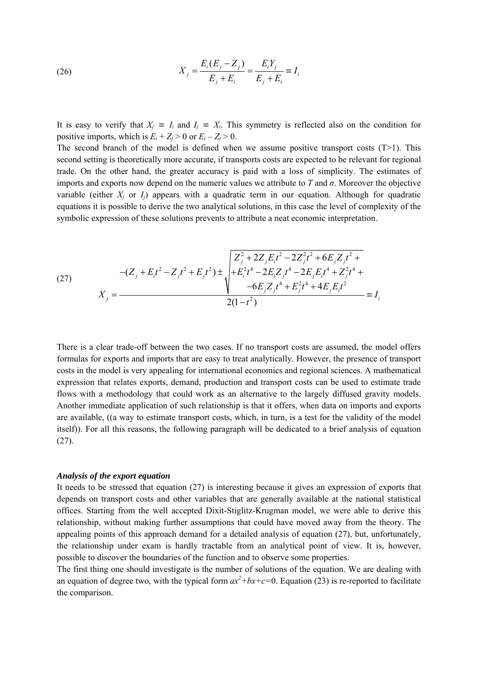(26) 
$$
X_j = \frac{E_i(E_j - Z_j)}{E_j + E_i} = \frac{E_i Y_j}{E_j + E_i} = I_i
$$

It is easy to verify that  $X_i \equiv I_i$  and  $I_j \equiv X_i$ . This symmetry is reflected also on the condition for positive imports, which is  $E_i + Z_i > 0$  or  $E_i - Z_i > 0$ .

The second branch of the model is defined when we assume positive transport costs  $(T>1)$ . This second setting is theoretically more accurate, if transports costs are expected to be relevant for regional trade. On the other hand, the greater accuracy is paid with a loss of simplicity. The estimates of imports and exports now depend on the numeric values we attribute to  $T$  and  $\sigma$ . Moreover the objective variable (either  $X_i$  or  $I_i$ ) appears with a quadratic term in our equation. Although for quadratic equations it is possible to derive the two analytical solutions, in this case the level of complexity of the symbolic expression of these solutions prevents to attribute a neat economic interpretation.

(27) 
$$
-(Z_j + E_i t^2 - Z_j t^2 + E_j t^2) \pm \sqrt{\frac{Z_j^2 + 2Z_j E_i t^2 - 2Z_j^2 t^2 + 6E_j Z_j t^2 + 4Z_j^2 t^4 + 2E_j E_i^2 t^4 - 2E_j Z_j t^4 + 2Z_j^2 t^4 + 4E_j E_i^2 t^4 + 4E_j E_i^2 t^4 + 4E_j E_i^2 t^4 + 4E_j E_i^2 t^4 + 4E_j E_i^2 t^4 + 4E_j E_i^2 t^4 + 4E_j E_i^2 t^4 + 4E_j E_i^2 t^4 + 4E_j E_i^2 t^4 + 4E_j E_i^2 t^4 + 4E_j E_i^2 t^4 + 4E_j E_i^2 t^4 + 4E_j E_i^2 t^4 + 4E_j E_i^2 t^4 + 4E_j E_i^2 t^4 + 4E_j E_i^2 t^4 + 4E_j E_i^2 t^4 + 4E_j E_i^2 t^4 + 4E_j E_i^2 t^4 + 4E_j E_i^2 t^4 + 4E_j E_i^2 t^4 + 4E_j E_i^2 t^4 + 4E_j E_i^2 t^4 + 4E_j E_i^2 t^4 + 4E_j E_i^2 t^4 + 4E_j E_i^2 t^4 + 4E_j E_i^2 t^4 + 4E_j E_i^2 t^4 + 4E_j E_i^2 t^4 + 4E_j E_i^2 t^4 + 4E_j E_i^2 t^4 + 4E_j E_i^2 t^4 + 4E_j E_i^2 t^4 + 4E_j E_i^2 t^4 + 4E_j E_i^2 t^4 + 4E_j E_i^2 t^4 + 4E_j E_i^2 t^4 + 4E_j E_i^2 t^4 + 4E_j E_i^2 t^4 + 4E_j E_i^2 t^4 + 4E_j E_i^2 t^4 + 4E_j E_i^2 t^4 + 4E_j E_i^2 t^4 + 4E_j E_i^2 t^4 + 4E_j E_i^2 t^4 + 4E_j E_i^2 t^4 + 4E_j E_i^2 t^4 + 4E_j E_i^2 t^4 + 4E_j E_i^2 t^4 + 4E_j E_i^2 t^4 + 4E_j E_i^2 t^4 + 4E_j E_i^2 t^4 + 4E_j E_i^2 t^4 + 4E_j E_i^2 t^4 +
$$

There is a clear trade-off between the two cases. If no transport costs are assumed, the model offers formulas for exports and imports that are easy to treat analytically. However, the presence of transport costs in the model is very appealing for international economics and regional sciences. A mathematical expression that relates exports, demand, production and transport costs can be used to estimate trade flows with a methodology that could work as an alternative to the largely diffused gravity models. Another immediate application of such relationship is that it offers, when data on imports and exports are available, ((a way to estimate transport costs, which, in turn, is a test for the validity of the model itself)). For all this reasons, the following paragraph will be dedicated to a brief analysis of equation  $(27)$ .

#### *Analysis of the export equation*

It needs to be stressed that equation (27) is interesting because it gives an expression of exports that depends on transport costs and other variables that are generally available at the national statistical offices. Starting from the well accepted Dixit-Stiglitz-Krugman model, we were able to derive this relationship, without making further assumptions that could have moved away from the theory. The appealing points of this approach demand for a detailed analysis of equation (27), but, unfortunately, the relationship under exam is hardly tractable from an analytical point of view. It is, however, possible to discover the boundaries of the function and to observe some properties.

The first thing one should investigate is the number of solutions of the equation. We are dealing with an equation of degree two, with the typical form  $ax^2+bx+c=0$ . Equation (23) is re-reported to facilitate the comparison.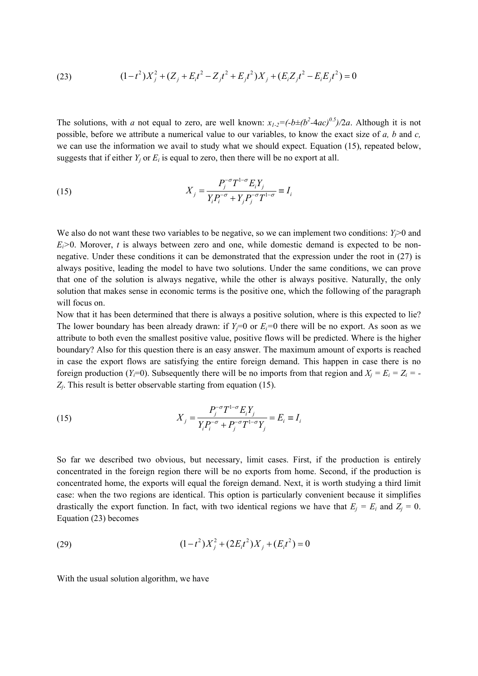(23) 
$$
(1-t^2)X_j^2 + (Z_j + E_it^2 - Z_jt^2 + E_jt^2)X_j + (E_iZ_jt^2 - E_iE_jt^2) = 0
$$

The solutions, with *a* not equal to zero, are well known:  $x_{1-2} = (-b \pm (b^2 - 4ac)^{0.5})/2a$ . Although it is not possible, before we attribute a numerical value to our variables, to know the exact size of *a, b* and *c,*  we can use the information we avail to study what we should expect. Equation (15), repeated below, suggests that if either  $Y_i$  or  $E_i$  is equal to zero, then there will be no export at all.

(15) 
$$
X_{j} = \frac{P_{j}^{-\sigma} T^{1-\sigma} E_{i} Y_{j}}{Y_{i} P_{i}^{-\sigma} + Y_{j} P_{j}^{-\sigma} T^{1-\sigma}} \equiv I_{i}
$$

We also do not want these two variables to be negative, so we can implement two conditions:  $Y_i > 0$  and  $E_i$  >0. Morover, *t* is always between zero and one, while domestic demand is expected to be nonnegative. Under these conditions it can be demonstrated that the expression under the root in (27) is always positive, leading the model to have two solutions. Under the same conditions, we can prove that one of the solution is always negative, while the other is always positive. Naturally, the only solution that makes sense in economic terms is the positive one, which the following of the paragraph will focus on.

Now that it has been determined that there is always a positive solution, where is this expected to lie? The lower boundary has been already drawn: if  $Y_i=0$  or  $E_i=0$  there will be no export. As soon as we attribute to both even the smallest positive value, positive flows will be predicted. Where is the higher boundary? Also for this question there is an easy answer. The maximum amount of exports is reached in case the export flows are satisfying the entire foreign demand. This happen in case there is no foreign production (*Y<sub>i</sub>*=0). Subsequently there will be no imports from that region and  $X_i = E_i = Z_i = -$ *Zj*. This result is better observable starting from equation (15).

(15) 
$$
X_{j} = \frac{P_{j}^{-\sigma} T^{1-\sigma} E_{i} Y_{j}}{Y_{i} P_{i}^{-\sigma} + P_{j}^{-\sigma} T^{1-\sigma} Y_{j}} = E_{i} \equiv I_{i}
$$

So far we described two obvious, but necessary, limit cases. First, if the production is entirely concentrated in the foreign region there will be no exports from home. Second, if the production is concentrated home, the exports will equal the foreign demand. Next, it is worth studying a third limit case: when the two regions are identical. This option is particularly convenient because it simplifies drastically the export function. In fact, with two identical regions we have that  $E_i = E_i$  and  $Z_i = 0$ . Equation (23) becomes

(29) 
$$
(1-t^2)X_j^2 + (2E_it^2)X_j + (E_it^2) = 0
$$

With the usual solution algorithm, we have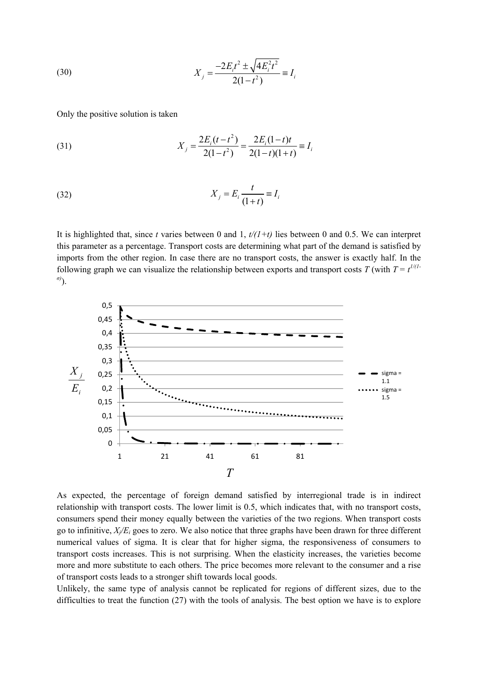(30) 
$$
X_j = \frac{-2E_it^2 \pm \sqrt{4E_i^2t^2}}{2(1-t^2)} \equiv I_i
$$

Only the positive solution is taken

(31) 
$$
X_j = \frac{2E_i(t - t^2)}{2(1 - t^2)} = \frac{2E_i(1 - t)t}{2(1 - t)(1 + t)} \equiv I_i
$$

(32) (1 ) *ji i <sup>t</sup> <sup>X</sup> E I <sup>t</sup>* <sup>=</sup> <sup>≡</sup> <sup>+</sup>

It is highlighted that, since *t* varies between 0 and 1,  $t/(1+t)$  lies between 0 and 0.5. We can interpret this parameter as a percentage. Transport costs are determining what part of the demand is satisfied by imports from the other region. In case there are no transport costs, the answer is exactly half. In the following graph we can visualize the relationship between exports and transport costs *T* (with  $T = t^{1/(1-t)}$ *σ)* ).



As expected, the percentage of foreign demand satisfied by interregional trade is in indirect relationship with transport costs. The lower limit is 0.5, which indicates that, with no transport costs, consumers spend their money equally between the varieties of the two regions. When transport costs go to infinitive,  $X/E_i$  goes to zero. We also notice that three graphs have been drawn for three different numerical values of sigma. It is clear that for higher sigma, the responsiveness of consumers to transport costs increases. This is not surprising. When the elasticity increases, the varieties become more and more substitute to each others. The price becomes more relevant to the consumer and a rise of transport costs leads to a stronger shift towards local goods.

Unlikely, the same type of analysis cannot be replicated for regions of different sizes, due to the difficulties to treat the function (27) with the tools of analysis. The best option we have is to explore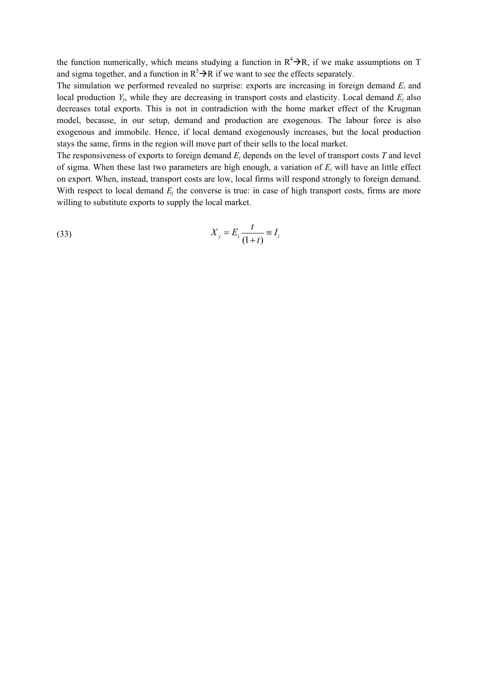the function numerically, which means studying a function in  $R^4 \rightarrow R$ , if we make assumptions on T and sigma together, and a function in  $R^5 \rightarrow R$  if we want to see the effects separately.

The simulation we performed revealed no surprise: exports are increasing in foreign demand *Ei* and local production  $Y_i$ , while they are decreasing in transport costs and elasticity. Local demand  $E_i$  also decreases total exports. This is not in contradiction with the home market effect of the Krugman model, because, in our setup, demand and production are exogenous. The labour force is also exogenous and immobile. Hence, if local demand exogenously increases, but the local production stays the same, firms in the region will move part of their sells to the local market.

The responsiveness of exports to foreign demand *Ei* depends on the level of transport costs *T* and level of sigma. When these last two parameters are high enough, a variation of *Ei* will have an little effect on export. When, instead, transport costs are low, local firms will respond strongly to foreign demand. With respect to local demand  $E_i$  the converse is true: in case of high transport costs, firms are more willing to substitute exports to supply the local market.

$$
(33) \t\t\t X_j = E_i \frac{t}{(1+t)} \equiv I_i
$$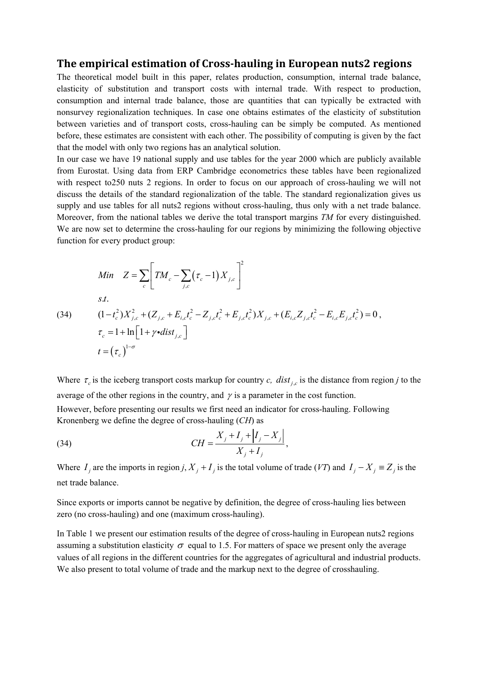## **The empirical estimation of Crosshauling in European nuts2 regions**

The theoretical model built in this paper, relates production, consumption, internal trade balance, elasticity of substitution and transport costs with internal trade. With respect to production, consumption and internal trade balance, those are quantities that can typically be extracted with nonsurvey regionalization techniques. In case one obtains estimates of the elasticity of substitution between varieties and of transport costs, cross-hauling can be simply be computed. As mentioned before, these estimates are consistent with each other. The possibility of computing is given by the fact that the model with only two regions has an analytical solution.

In our case we have 19 national supply and use tables for the year 2000 which are publicly available from Eurostat. Using data from ERP Cambridge econometrics these tables have been regionalized with respect to250 nuts 2 regions. In order to focus on our approach of cross-hauling we will not discuss the details of the standard regionalization of the table. The standard regionalization gives us supply and use tables for all nuts2 regions without cross-hauling, thus only with a net trade balance. Moreover, from the national tables we derive the total transport margins *TM* for every distinguished. We are now set to determine the cross-hauling for our regions by minimizing the following objective function for every product group:

$$
Min \t Z = \sum_{c} \left[ TM_c - \sum_{j,c} (\tau_c - 1) X_{j,c} \right]^2
$$
  
s.t.  
(34) 
$$
(1 - t_c^2) X_{j,c}^2 + (Z_{j,c} + E_{i,c} t_c^2 - Z_{j,c} t_c^2 + E_{j,c} t_c^2) X_{j,c} + (E_{i,c} Z_{j,c} t_c^2 - E_{i,c} E_{j,c} t_c^2) = 0,
$$
  

$$
\tau_c = 1 + \ln \left[ 1 + \gamma \cdot dist_{j,c} \right]
$$
  

$$
t = (\tau_c)^{1-\sigma}
$$

Where  $\tau_c$  is the iceberg transport costs markup for country *c*, *dist*<sub>i,c</sub> is the distance from region *j* to the average of the other regions in the country, and  $\gamma$  is a parameter in the cost function. However, before presenting our results we first need an indicator for cross-hauling. Following Kronenberg we define the degree of cross-hauling (*CH*) as

(34) 
$$
CH = \frac{X_j + I_j + |I_j - X_j|}{X_j + I_j},
$$

Where  $I_j$  are the imports in region *j*,  $X_j + I_j$  is the total volume of trade (*VT*) and  $I_j - X_j \equiv Z_j$  is the net trade balance.

Since exports or imports cannot be negative by definition, the degree of cross-hauling lies between zero (no cross-hauling) and one (maximum cross-hauling).

In Table 1 we present our estimation results of the degree of cross-hauling in European nuts2 regions assuming a substitution elasticity  $\sigma$  equal to 1.5. For matters of space we present only the average values of all regions in the different countries for the aggregates of agricultural and industrial products. We also present to total volume of trade and the markup next to the degree of crosshauling.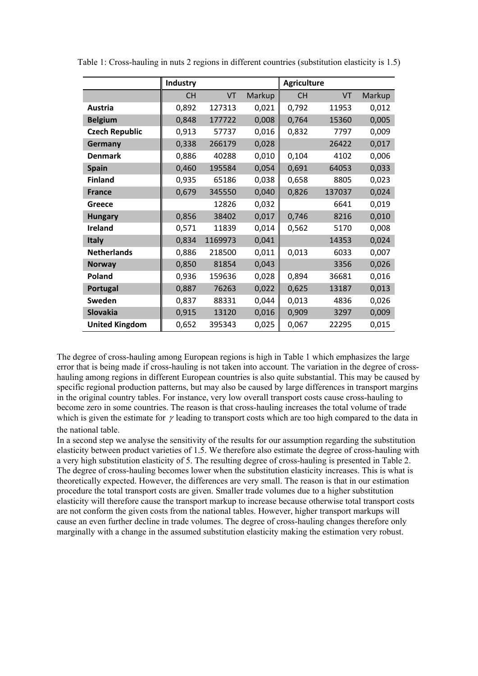|                       | <b>Industry</b> |         |        | <b>Agriculture</b> |        |        |
|-----------------------|-----------------|---------|--------|--------------------|--------|--------|
|                       | <b>CH</b>       | VT      | Markup | <b>CH</b>          | VT     | Markup |
| <b>Austria</b>        | 0,892           | 127313  | 0,021  | 0,792              | 11953  | 0,012  |
| <b>Belgium</b>        | 0,848           | 177722  | 0,008  | 0,764              | 15360  | 0,005  |
| <b>Czech Republic</b> | 0,913           | 57737   | 0,016  | 0,832              | 7797   | 0,009  |
| Germany               | 0,338           | 266179  | 0,028  |                    | 26422  | 0,017  |
| <b>Denmark</b>        | 0,886           | 40288   | 0,010  | 0,104              | 4102   | 0,006  |
| <b>Spain</b>          | 0,460           | 195584  | 0,054  | 0,691              | 64053  | 0,033  |
| <b>Finland</b>        | 0,935           | 65186   | 0,038  | 0,658              | 8805   | 0,023  |
| <b>France</b>         | 0,679           | 345550  | 0,040  | 0,826              | 137037 | 0,024  |
| Greece                |                 | 12826   | 0,032  |                    | 6641   | 0,019  |
| <b>Hungary</b>        | 0,856           | 38402   | 0,017  | 0,746              | 8216   | 0,010  |
| <b>Ireland</b>        | 0,571           | 11839   | 0,014  | 0,562              | 5170   | 0,008  |
| <b>Italy</b>          | 0,834           | 1169973 | 0,041  |                    | 14353  | 0,024  |
| <b>Netherlands</b>    | 0,886           | 218500  | 0,011  | 0,013              | 6033   | 0,007  |
| <b>Norway</b>         | 0,850           | 81854   | 0,043  |                    | 3356   | 0,026  |
| Poland                | 0,936           | 159636  | 0,028  | 0,894              | 36681  | 0,016  |
| Portugal              | 0,887           | 76263   | 0,022  | 0,625              | 13187  | 0,013  |
| <b>Sweden</b>         | 0,837           | 88331   | 0,044  | 0,013              | 4836   | 0,026  |
| <b>Slovakia</b>       | 0,915           | 13120   | 0,016  | 0,909              | 3297   | 0,009  |
| <b>United Kingdom</b> | 0,652           | 395343  | 0,025  | 0,067              | 22295  | 0,015  |

Table 1: Cross-hauling in nuts 2 regions in different countries (substitution elasticity is 1.5)

The degree of cross-hauling among European regions is high in Table 1 which emphasizes the large error that is being made if cross-hauling is not taken into account. The variation in the degree of crosshauling among regions in different European countries is also quite substantial. This may be caused by specific regional production patterns, but may also be caused by large differences in transport margins in the original country tables. For instance, very low overall transport costs cause cross-hauling to become zero in some countries. The reason is that cross-hauling increases the total volume of trade which is given the estimate for  $\gamma$  leading to transport costs which are too high compared to the data in the national table.

In a second step we analyse the sensitivity of the results for our assumption regarding the substitution elasticity between product varieties of 1.5. We therefore also estimate the degree of cross-hauling with a very high substitution elasticity of 5. The resulting degree of cross-hauling is presented in Table 2. The degree of cross-hauling becomes lower when the substitution elasticity increases. This is what is theoretically expected. However, the differences are very small. The reason is that in our estimation procedure the total transport costs are given. Smaller trade volumes due to a higher substitution elasticity will therefore cause the transport markup to increase because otherwise total transport costs are not conform the given costs from the national tables. However, higher transport markups will cause an even further decline in trade volumes. The degree of cross-hauling changes therefore only marginally with a change in the assumed substitution elasticity making the estimation very robust.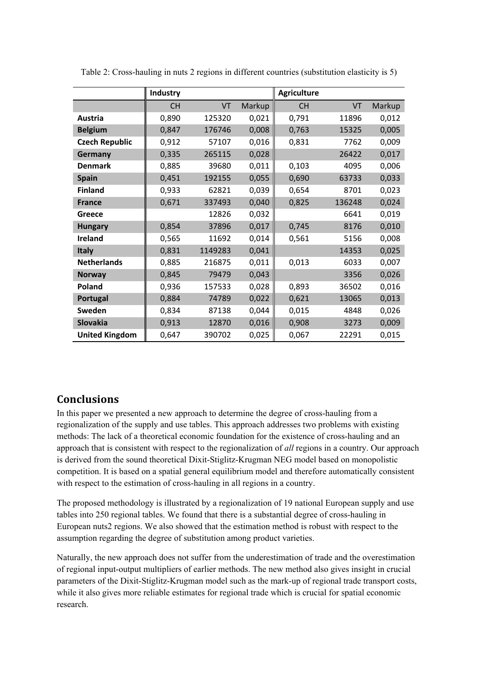|                       | Industry  |         |        | <b>Agriculture</b> |        |        |
|-----------------------|-----------|---------|--------|--------------------|--------|--------|
|                       | <b>CH</b> | VT      | Markup | <b>CH</b>          | VT     | Markup |
| Austria               | 0,890     | 125320  | 0,021  | 0,791              | 11896  | 0,012  |
| <b>Belgium</b>        | 0,847     | 176746  | 0,008  | 0,763              | 15325  | 0,005  |
| <b>Czech Republic</b> | 0,912     | 57107   | 0,016  | 0,831              | 7762   | 0,009  |
| Germany               | 0,335     | 265115  | 0,028  |                    | 26422  | 0,017  |
| <b>Denmark</b>        | 0,885     | 39680   | 0,011  | 0,103              | 4095   | 0,006  |
| <b>Spain</b>          | 0,451     | 192155  | 0,055  | 0,690              | 63733  | 0,033  |
| <b>Finland</b>        | 0,933     | 62821   | 0,039  | 0,654              | 8701   | 0,023  |
| <b>France</b>         | 0,671     | 337493  | 0,040  | 0,825              | 136248 | 0,024  |
| Greece                |           | 12826   | 0,032  |                    | 6641   | 0,019  |
| <b>Hungary</b>        | 0,854     | 37896   | 0,017  | 0,745              | 8176   | 0,010  |
| Ireland               | 0,565     | 11692   | 0,014  | 0,561              | 5156   | 0,008  |
| <b>Italy</b>          | 0,831     | 1149283 | 0,041  |                    | 14353  | 0,025  |
| <b>Netherlands</b>    | 0,885     | 216875  | 0,011  | 0,013              | 6033   | 0,007  |
| <b>Norway</b>         | 0,845     | 79479   | 0,043  |                    | 3356   | 0,026  |
| Poland                | 0,936     | 157533  | 0,028  | 0,893              | 36502  | 0,016  |
| Portugal              | 0,884     | 74789   | 0,022  | 0,621              | 13065  | 0,013  |
| Sweden                | 0,834     | 87138   | 0,044  | 0,015              | 4848   | 0,026  |
| Slovakia              | 0,913     | 12870   | 0,016  | 0,908              | 3273   | 0,009  |
| <b>United Kingdom</b> | 0,647     | 390702  | 0,025  | 0,067              | 22291  | 0,015  |

Table 2: Cross-hauling in nuts 2 regions in different countries (substitution elasticity is 5)

# **Conclusions**

In this paper we presented a new approach to determine the degree of cross-hauling from a regionalization of the supply and use tables. This approach addresses two problems with existing methods: The lack of a theoretical economic foundation for the existence of cross-hauling and an approach that is consistent with respect to the regionalization of *all* regions in a country. Our approach is derived from the sound theoretical Dixit-Stiglitz-Krugman NEG model based on monopolistic competition. It is based on a spatial general equilibrium model and therefore automatically consistent with respect to the estimation of cross-hauling in all regions in a country.

The proposed methodology is illustrated by a regionalization of 19 national European supply and use tables into 250 regional tables. We found that there is a substantial degree of cross-hauling in European nuts2 regions. We also showed that the estimation method is robust with respect to the assumption regarding the degree of substitution among product varieties.

Naturally, the new approach does not suffer from the underestimation of trade and the overestimation of regional input-output multipliers of earlier methods. The new method also gives insight in crucial parameters of the Dixit-Stiglitz-Krugman model such as the mark-up of regional trade transport costs, while it also gives more reliable estimates for regional trade which is crucial for spatial economic research.